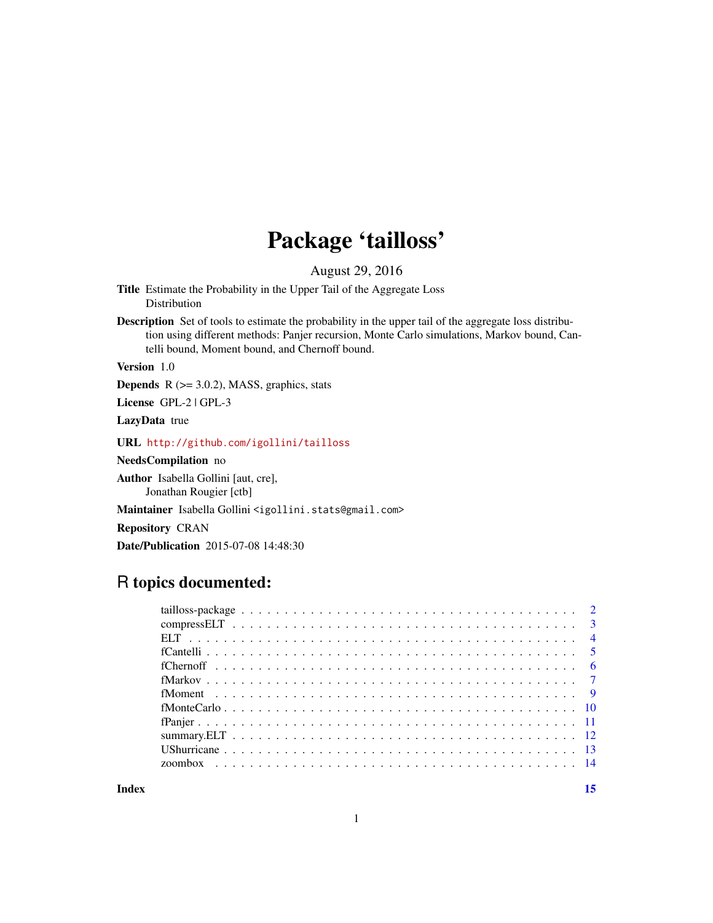## Package 'tailloss'

August 29, 2016

<span id="page-0-0"></span>Title Estimate the Probability in the Upper Tail of the Aggregate Loss Distribution

Description Set of tools to estimate the probability in the upper tail of the aggregate loss distribution using different methods: Panjer recursion, Monte Carlo simulations, Markov bound, Cantelli bound, Moment bound, and Chernoff bound.

Version 1.0

**Depends**  $R$  ( $>= 3.0.2$ ), MASS, graphics, stats

License GPL-2 | GPL-3

LazyData true

URL <http://github.com/igollini/tailloss>

NeedsCompilation no

Author Isabella Gollini [aut, cre], Jonathan Rougier [ctb]

Maintainer Isabella Gollini <igollini.stats@gmail.com>

Repository CRAN

Date/Publication 2015-07-08 14:48:30

## R topics documented:

**Index** [15](#page-14-0)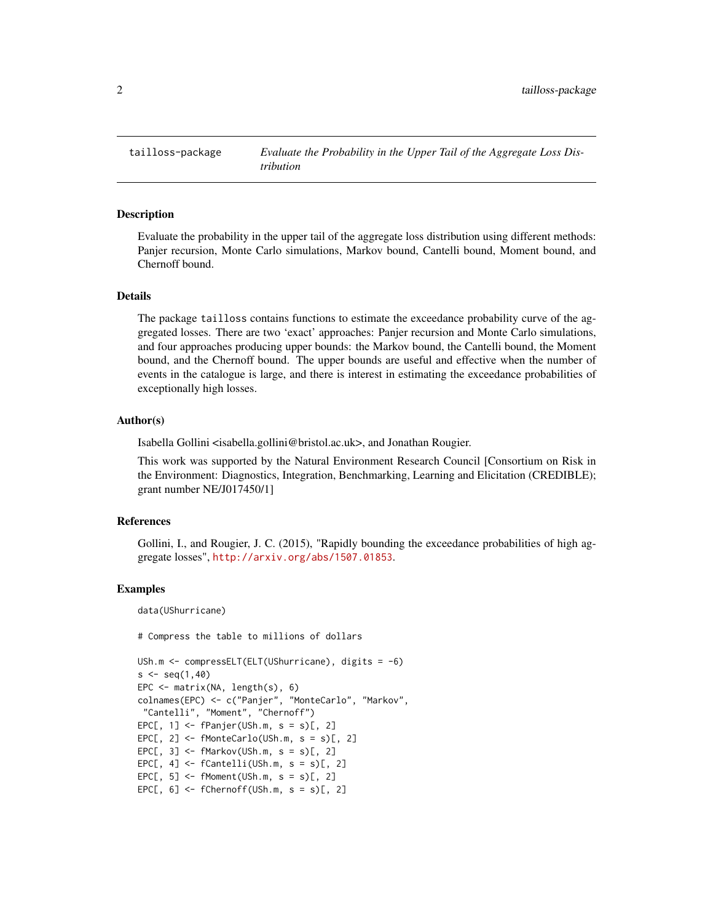<span id="page-1-0"></span>tailloss-package *Evaluate the Probability in the Upper Tail of the Aggregate Loss Distribution*

#### Description

Evaluate the probability in the upper tail of the aggregate loss distribution using different methods: Panjer recursion, Monte Carlo simulations, Markov bound, Cantelli bound, Moment bound, and Chernoff bound.

## Details

The package tailloss contains functions to estimate the exceedance probability curve of the aggregated losses. There are two 'exact' approaches: Panjer recursion and Monte Carlo simulations, and four approaches producing upper bounds: the Markov bound, the Cantelli bound, the Moment bound, and the Chernoff bound. The upper bounds are useful and effective when the number of events in the catalogue is large, and there is interest in estimating the exceedance probabilities of exceptionally high losses.

#### Author(s)

Isabella Gollini <isabella.gollini@bristol.ac.uk>, and Jonathan Rougier.

This work was supported by the Natural Environment Research Council [Consortium on Risk in the Environment: Diagnostics, Integration, Benchmarking, Learning and Elicitation (CREDIBLE); grant number NE/J017450/1]

#### References

Gollini, I., and Rougier, J. C. (2015), "Rapidly bounding the exceedance probabilities of high aggregate losses", <http://arxiv.org/abs/1507.01853>.

#### Examples

data(UShurricane)

# Compress the table to millions of dollars

```
USh.m <- compressELT(ELT(UShurricane), digits = -6)
s < -seq(1, 40)EPC <- matrix(NA, length(s), 6)
colnames(EPC) <- c("Panjer", "MonteCarlo", "Markov",
"Cantelli", "Moment", "Chernoff")
EPC[, 1] <- fPanjer(USh.m, s = s)[, 2]
EPC[, 2] \leftarrow fMonteCarlo(USh.m, s = s)[, 2]EPC[, 3] <- fMarkov(USh.m, s = s)[, 2]
EPC[, 4] <- fCantelli(USh.m, s = s)[, 2]
EPC[, 5] \le- fMoment(USh.m, s = s)[, 2]
EPC[, 6] <- fChernoff(USh.m, s = s)[, 2]
```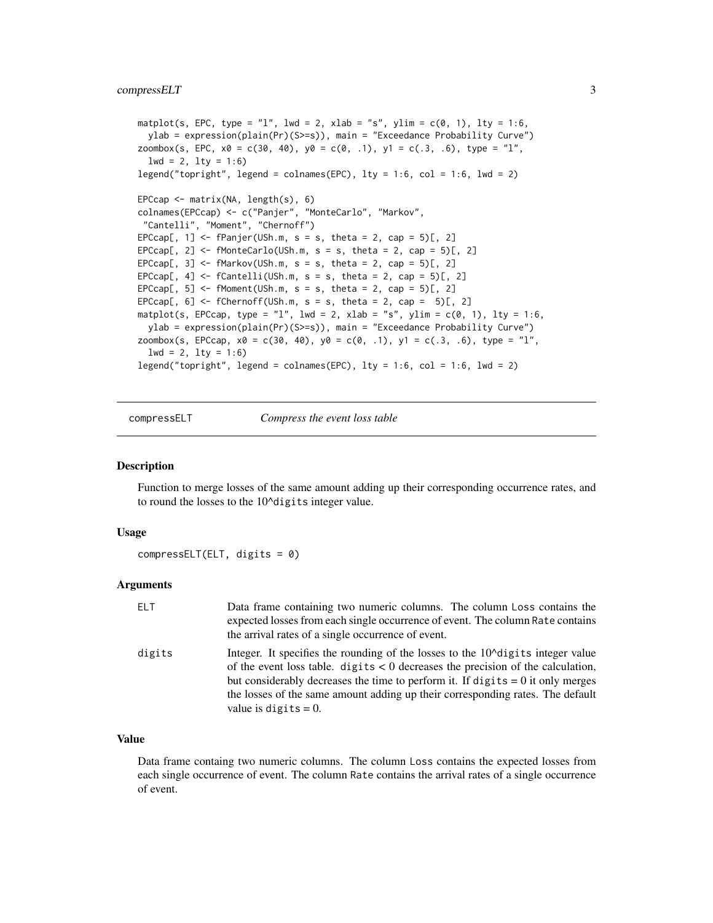## <span id="page-2-0"></span>compressELT 3

```
matplot(s, EPC, type = "l", lwd = 2, xlab = "s", ylim = c(0, 1), lty = 1:6,
  ylab = expression(plain(Pr)(S>=s)), main = "Exceedance Probability Curve")
zoombox(s, EPC, x0 = c(30, 40), y0 = c(0, .1), y1 = c(.3, .6), type = "1",
  1wd = 2, 1ty = 1:6legend("topright", legend = colnames(EPC), lty = 1:6, col = 1:6, lwd = 2)
EPCcap <- matrix(NA, length(s), 6)
colnames(EPCcap) <- c("Panjer", "MonteCarlo", "Markov",
 "Cantelli", "Moment", "Chernoff")
EPCcap[, 1] <- fPanjer(USh.m, s = s, theta = 2, cap = 5)[, 2]
EPCcap[, 2] <- fMonteCarlo(USh.m, s = s, theta = 2, cap = 5)[, 2]
EPCcap[, 3] <- fMarkov(USh.m, s = s, theta = 2, cap = 5)[, 2]
EPCcap[, 4] \leq fCantelli(USh.m, s = s, theta = 2, cap = 5)[, 2]
EPCcap[, 5] <- fMoment(USh.m, s = s, theta = 2, cap = 5)[, 2]
EPCcap[, 6] <- fChernoff(USh.m, s = s, theta = 2, cap = 5)[, 2]
matplot(s, EPCcap, type = "l", lwd = 2, xlab = "s", ylim = c(0, 1), lty = 1:6,
  ylab = expression(plain(Pr)(S>=s)), main = "Exceedance Probability Curve")
zoombox(s, EPCcap, x0 = c(30, 40), y0 = c(0, .1), y1 = c(.3, .6), type = "1",
  1wd = 2, 1ty = 1:6legend("topright", legend = colnames(EPC), lty = 1:6, col = 1:6, lwd = 2)
```
compressELT *Compress the event loss table*

### Description

Function to merge losses of the same amount adding up their corresponding occurrence rates, and to round the losses to the 10^digits integer value.

#### Usage

 $compressELT(ELT, digits = 0)$ 

#### Arguments

| ELT    | Data frame containing two numeric columns. The column Loss contains the<br>expected losses from each single occurrence of event. The column Rate contains<br>the arrival rates of a single occurrence of event.                                                                                                                                                                    |
|--------|------------------------------------------------------------------------------------------------------------------------------------------------------------------------------------------------------------------------------------------------------------------------------------------------------------------------------------------------------------------------------------|
| digits | Integer. It specifies the rounding of the losses to the $10^{\circ}$ digits integer value<br>of the event loss table. digits $\lt 0$ decreases the precision of the calculation,<br>but considerably decreases the time to perform it. If digits $= 0$ it only merges<br>the losses of the same amount adding up their corresponding rates. The default<br>value is digits $= 0$ . |

## Value

Data frame containg two numeric columns. The column Loss contains the expected losses from each single occurrence of event. The column Rate contains the arrival rates of a single occurrence of event.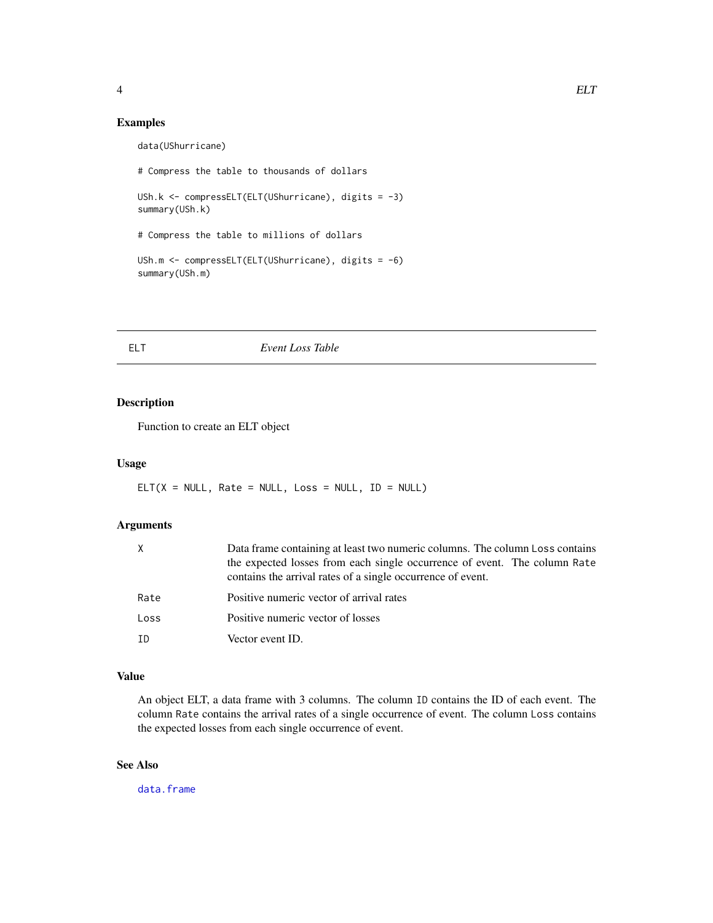## <span id="page-3-0"></span>Examples

data(UShurricane)

```
# Compress the table to thousands of dollars
USh.k <- compressELT(ELT(UShurricane), digits = -3)
summary(USh.k)
# Compress the table to millions of dollars
USh.m <- compressELT(ELT(UShurricane), digits = -6)
summary(USh.m)
```
## ELT *Event Loss Table*

## Description

Function to create an ELT object

#### Usage

 $ELT(X = NULL, Rate = NULL, Loss = NULL, ID = NULL)$ 

## Arguments

| X    | Data frame containing at least two numeric columns. The column Loss contains<br>the expected losses from each single occurrence of event. The column Rate |
|------|-----------------------------------------------------------------------------------------------------------------------------------------------------------|
|      | contains the arrival rates of a single occurrence of event.                                                                                               |
| Rate | Positive numeric vector of arrival rates                                                                                                                  |
| Loss | Positive numeric vector of losses                                                                                                                         |
| ΙD   | Vector event ID.                                                                                                                                          |

## Value

An object ELT, a data frame with 3 columns. The column ID contains the ID of each event. The column Rate contains the arrival rates of a single occurrence of event. The column Loss contains the expected losses from each single occurrence of event.

## See Also

[data.frame](#page-0-0)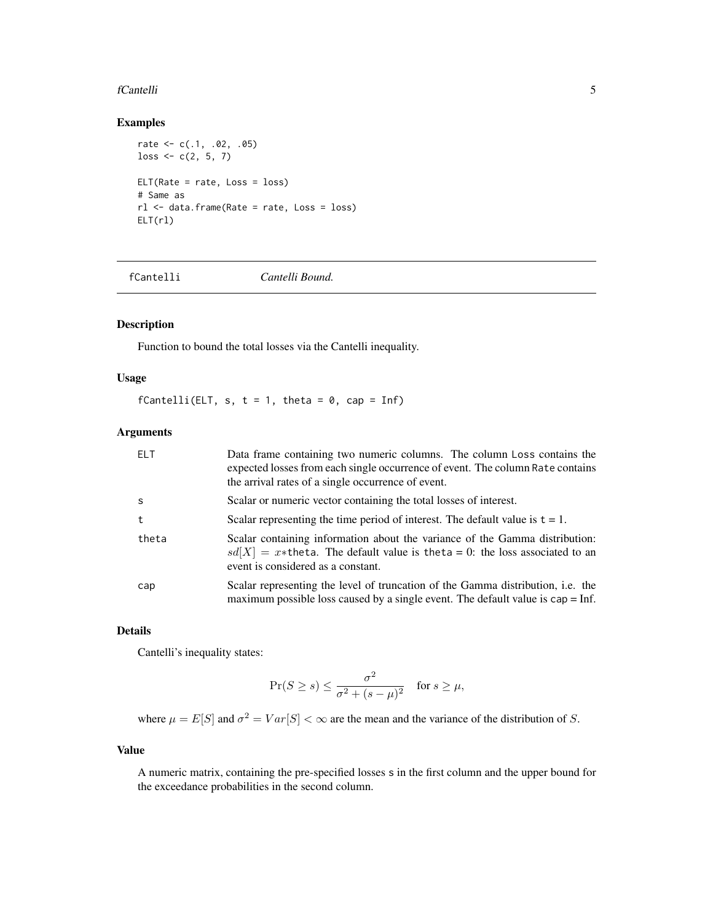#### <span id="page-4-0"></span>fCantelli 5

## Examples

```
rate <-c(.1, .02, .05)loss \leftarrow c(2, 5, 7)ELT(Rate = rate, Loss = loss)
# Same as
rl <- data.frame(Rate = rate, Loss = loss)
ELT(r1)
```
fCantelli *Cantelli Bound.*

## Description

Function to bound the total losses via the Cantelli inequality.

## Usage

fCantelli(ELT, s,  $t = 1$ , theta = 0, cap = Inf)

## Arguments

| ELT   | Data frame containing two numeric columns. The column Loss contains the<br>expected losses from each single occurrence of event. The column Rate contains<br>the arrival rates of a single occurrence of event. |
|-------|-----------------------------------------------------------------------------------------------------------------------------------------------------------------------------------------------------------------|
| -S    | Scalar or numeric vector containing the total losses of interest.                                                                                                                                               |
| t     | Scalar representing the time period of interest. The default value is $t = 1$ .                                                                                                                                 |
| theta | Scalar containing information about the variance of the Gamma distribution:<br>$sd[X] = x*$ theta. The default value is theta = 0: the loss associated to an<br>event is considered as a constant.              |
| cap   | Scalar representing the level of truncation of the Gamma distribution, i.e. the<br>maximum possible loss caused by a single event. The default value is $cap = Inf$ .                                           |

#### Details

Cantelli's inequality states:

$$
\Pr(S \ge s) \le \frac{\sigma^2}{\sigma^2 + (s - \mu)^2} \quad \text{for } s \ge \mu,
$$

where  $\mu = E[S]$  and  $\sigma^2 = Var[S] < \infty$  are the mean and the variance of the distribution of S.

## Value

A numeric matrix, containing the pre-specified losses s in the first column and the upper bound for the exceedance probabilities in the second column.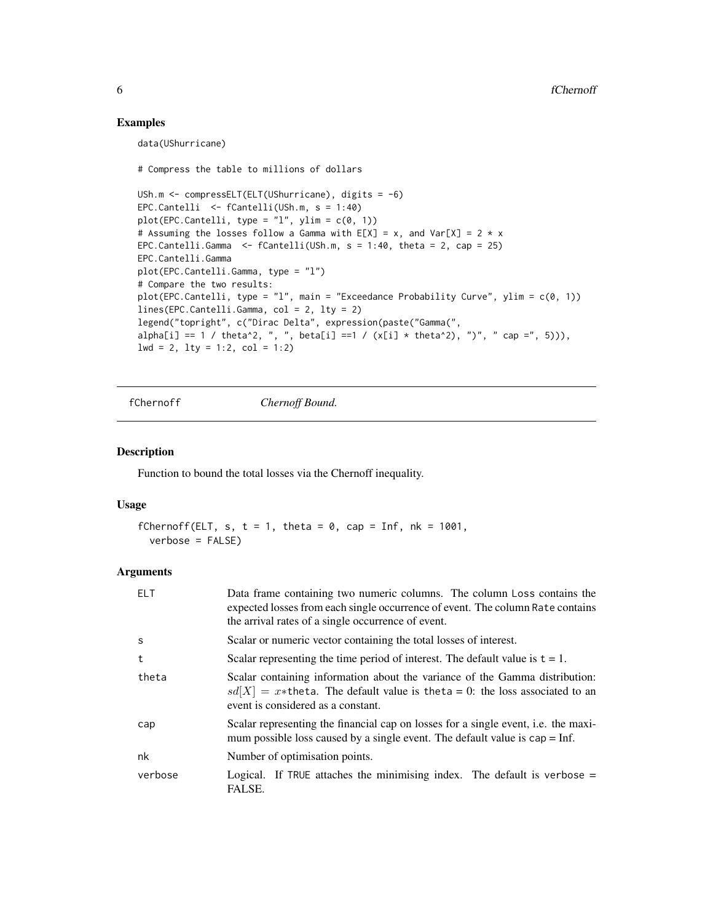## Examples

data(UShurricane)

# Compress the table to millions of dollars

```
USh.m <- compressELT(ELT(UShurricane), digits = -6)
EPC.Cantelli <- fCantelli(USh.m, s = 1:40)
plot(EPC.Cantelli, type = "l", ylim = c(0, 1))
# Assuming the losses follow a Gamma with E[X] = x, and Var[X] = 2 \times xEPC.Cantelli.Gamma \leq fCantelli(USh.m, s = 1:40, theta = 2, cap = 25)
EPC.Cantelli.Gamma
plot(EPC.Cantelli.Gamma, type = "l")
# Compare the two results:
plot(EPC.Cantelli, type = "l", main = "Exceedance Probability Curve", ylim = c(0, 1))
lines(EPC.Cantelli.Gamma, col = 2, lty = 2)
legend("topright", c("Dirac Delta", expression(paste("Gamma(",
alpha[i] == 1 / theta^2, ", ", beta[i] ==1 / (x[i] * theta^2), ")", " cap =", 5))),
1wd = 2, 1ty = 1:2, col = 1:2)
```
fChernoff *Chernoff Bound.*

#### Description

Function to bound the total losses via the Chernoff inequality.

#### Usage

```
fChernoff(ELT, s, t = 1, theta = 0, cap = Inf, nk = 1001,
  verbose = FALSE)
```
#### **Arguments**

| <b>ELT</b> | Data frame containing two numeric columns. The column Loss contains the<br>expected losses from each single occurrence of event. The column Rate contains<br>the arrival rates of a single occurrence of event. |
|------------|-----------------------------------------------------------------------------------------------------------------------------------------------------------------------------------------------------------------|
| S          | Scalar or numeric vector containing the total losses of interest.                                                                                                                                               |
| t          | Scalar representing the time period of interest. The default value is $t = 1$ .                                                                                                                                 |
| theta      | Scalar containing information about the variance of the Gamma distribution:<br>$sd[X] = x*$ the ta. The default value is the ta = 0: the loss associated to an<br>event is considered as a constant.            |
| cap        | Scalar representing the financial cap on losses for a single event, i.e. the maxi-<br>mum possible loss caused by a single event. The default value is $cap = Inf$ .                                            |
| nk         | Number of optimisation points.                                                                                                                                                                                  |
| verbose    | Logical. If TRUE attaches the minimising index. The default is verbose $=$<br>FALSE.                                                                                                                            |

<span id="page-5-0"></span>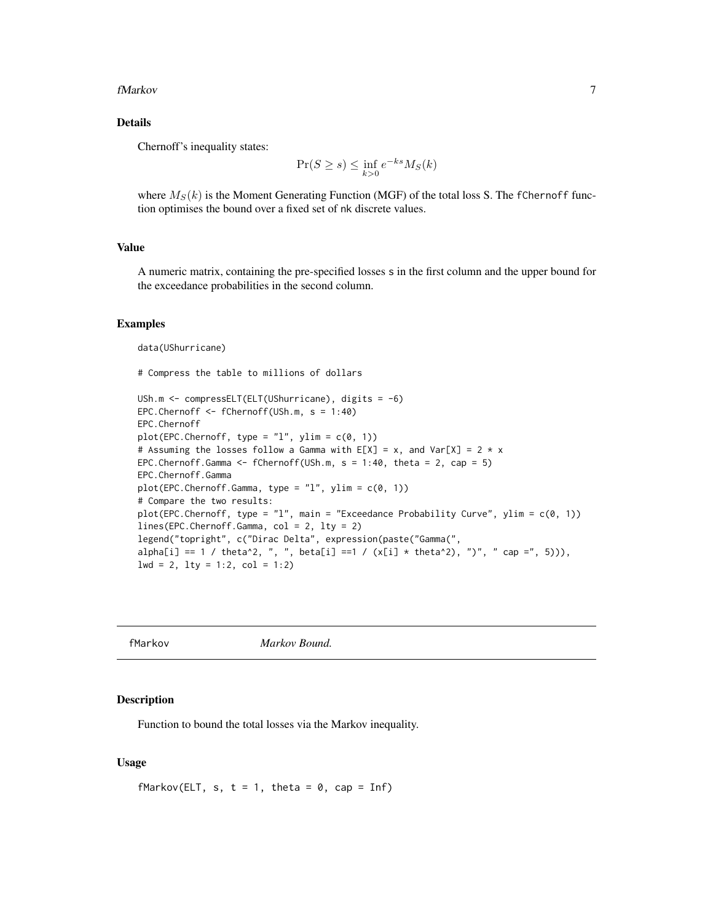#### <span id="page-6-0"></span>fMarkov 7

## Details

Chernoff's inequality states:

$$
\Pr(S \ge s) \le \inf_{k>0} e^{-ks} M_S(k)
$$

where  $M_S(k)$  is the Moment Generating Function (MGF) of the total loss S. The fChernoff function optimises the bound over a fixed set of nk discrete values.

#### Value

A numeric matrix, containing the pre-specified losses s in the first column and the upper bound for the exceedance probabilities in the second column.

#### Examples

data(UShurricane)

# Compress the table to millions of dollars

```
USh.m <- compressELT(ELT(UShurricane), digits = -6)
EPC.Chernoff <- fChernoff(USh.m, s = 1:40)
EPC.Chernoff
plot(EPC.Chernoff, type = "l", ylim = c(0, 1))# Assuming the losses follow a Gamma with E[X] = x, and Var[X] = 2 * x
EPC.Chernoff.Gamma \leq fChernoff(USh.m, s = 1:40, theta = 2, cap = 5)
EPC.Chernoff.Gamma
plot(EPC.Chernoff.Gamma, type = "l", ylim = c(0, 1))# Compare the two results:
plot(EPC.Chernoff, type = "1", main = "Exceedance Probability Curve", ylim = c(0, 1))
lines(EPC.Chernoff.Gamma, col = 2, lty = 2)
legend("topright", c("Dirac Delta", expression(paste("Gamma(",
alpha[i] == 1 / theta^2, ", ", beta[i] ==1 / (x[i] * theta^2), ")', " cap =", 5))),
1wd = 2, 1ty = 1:2, col = 1:2)
```
fMarkov *Markov Bound.*

#### Description

Function to bound the total losses via the Markov inequality.

## Usage

```
fMarkov(ELT, s, t = 1, theta = 0, cap = Inf)
```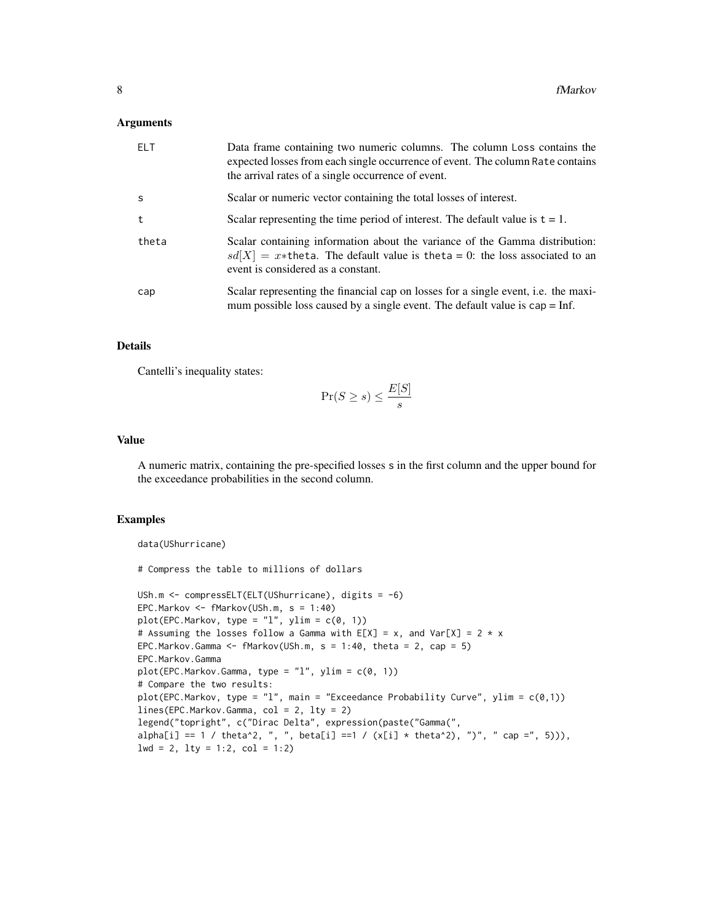#### **Arguments**

| FI <sub>T</sub> | Data frame containing two numeric columns. The column Loss contains the<br>expected losses from each single occurrence of event. The column Rate contains<br>the arrival rates of a single occurrence of event. |
|-----------------|-----------------------------------------------------------------------------------------------------------------------------------------------------------------------------------------------------------------|
| S               | Scalar or numeric vector containing the total losses of interest.                                                                                                                                               |
| t               | Scalar representing the time period of interest. The default value is $t = 1$ .                                                                                                                                 |
| theta           | Scalar containing information about the variance of the Gamma distribution:<br>$sd[X] = x*$ theta. The default value is theta = 0: the loss associated to an<br>event is considered as a constant.              |
| cap             | Scalar representing the financial cap on losses for a single event, i.e. the maxi-<br>mum possible loss caused by a single event. The default value is $cap = Inf$ .                                            |

## Details

Cantelli's inequality states:

$$
\Pr(S \ge s) \le \frac{E[S]}{s}
$$

#### Value

A numeric matrix, containing the pre-specified losses s in the first column and the upper bound for the exceedance probabilities in the second column.

#### Examples

```
data(UShurricane)
# Compress the table to millions of dollars
USh.m <- compressELT(ELT(UShurricane), digits = -6)
EPC.Markov <- fMarkov(USh.m, s = 1:40)
plot(EPC.Markov, type = "l", ylim = c(0, 1))# Assuming the losses follow a Gamma with E[X] = x, and Var[X] = 2 \times xEPC.Markov.Gamma <- fMarkov(USh.m, s = 1:40, theta = 2, cap = 5)EPC.Markov.Gamma
plot(EPC.Markov.Gamma, type = "l", ylim = c(0, 1))
# Compare the two results:
plot(EPC.Markov, type = "l", main = "Exceedance Probability Curve", ylim = c(\emptyset,1))
lines(EPC.Markov.Gamma, col = 2, lty = 2)
legend("topright", c("Dirac Delta", expression(paste("Gamma(",
alpha[i] == 1 / theta^2, ", ", beta[i] ==1 / (x[i] * theta^2), ")", " cap =", 5))),
1wd = 2, 1ty = 1:2, col = 1:2)
```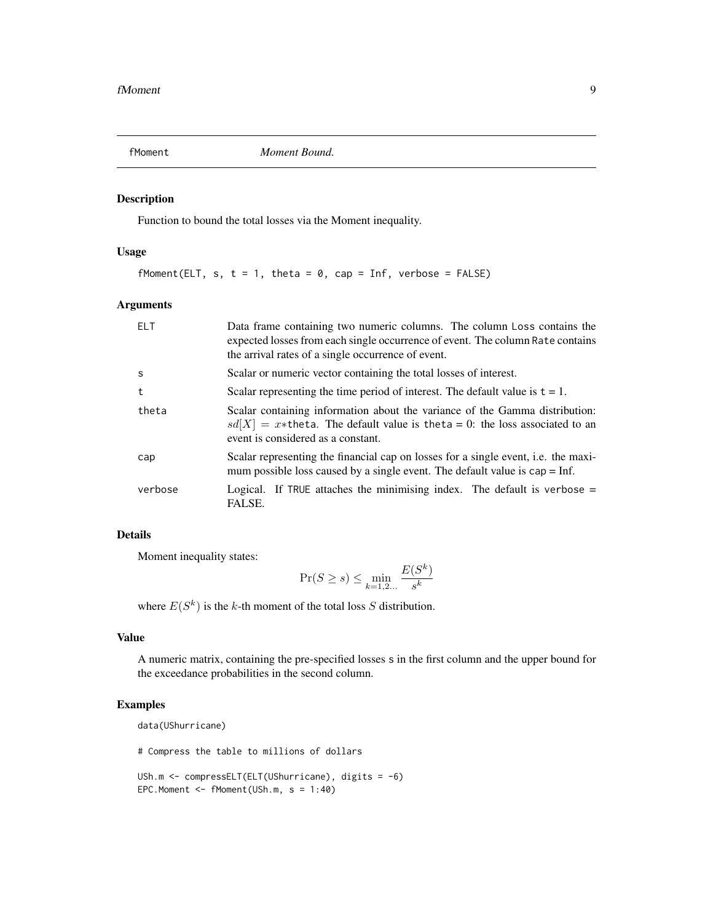<span id="page-8-0"></span>

## Description

Function to bound the total losses via the Moment inequality.

### Usage

fMoment(ELT, s,  $t = 1$ , theta = 0, cap = Inf, verbose = FALSE)

## Arguments

| FI <sub>T</sub> | Data frame containing two numeric columns. The column Loss contains the<br>expected losses from each single occurrence of event. The column Rate contains<br>the arrival rates of a single occurrence of event. |
|-----------------|-----------------------------------------------------------------------------------------------------------------------------------------------------------------------------------------------------------------|
| S               | Scalar or numeric vector containing the total losses of interest.                                                                                                                                               |
| t               | Scalar representing the time period of interest. The default value is $t = 1$ .                                                                                                                                 |
| theta           | Scalar containing information about the variance of the Gamma distribution:<br>$sd[X] = x*$ theta. The default value is theta = 0: the loss associated to an<br>event is considered as a constant.              |
| cap             | Scalar representing the financial cap on losses for a single event, i.e. the maxi-<br>mum possible loss caused by a single event. The default value is $cap = Inf$ .                                            |
| verbose         | Logical. If TRUE attaches the minimising index. The default is verbose $=$<br>FALSE.                                                                                                                            |

## Details

Moment inequality states:

$$
\Pr(S \ge s) \le \min_{k=1,2...} \frac{E(S^k)}{s^k}
$$

where  $E(S^k)$  is the k-th moment of the total loss S distribution.

## Value

A numeric matrix, containing the pre-specified losses s in the first column and the upper bound for the exceedance probabilities in the second column.

## Examples

```
data(UShurricane)
# Compress the table to millions of dollars
USh.m <- compressELT(ELT(UShurricane), digits = -6)
EPC.Moment <- fMoment(USh.m, s = 1:40)
```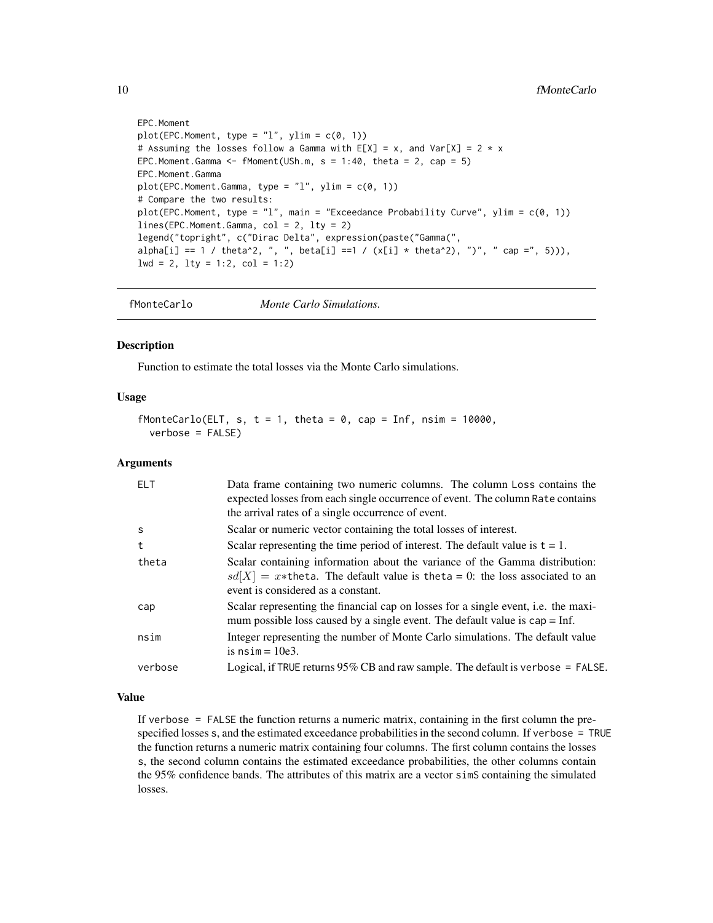```
EPC.Moment
plot(EPC.Moment, type = "l", ylim = c(0, 1))# Assuming the losses follow a Gamma with E[X] = x, and Var[X] = 2 \times xEPC. Moment. Gamma \leq fMoment (USh.m, s = 1:40, theta = 2, cap = 5)
EPC.Moment.Gamma
plot(EPC.Moment.Gamma, type = "l", ylim = c(0, 1))# Compare the two results:
plot(EPC.Moment, type = "l", main = "Exceedance Probability Curve", ylim = c(0, 1))
lines(EPC.Moment.Gamma, col = 2, lty = 2)
legend("topright", c("Dirac Delta", expression(paste("Gamma(",
alpha[i] == 1 / theta^2, ", ", beta[i] == 1 / (x[i] * theta^2), ")", " cap =", 5))),
1wd = 2, 1ty = 1:2, col = 1:2)
```
fMonteCarlo *Monte Carlo Simulations.*

## Description

Function to estimate the total losses via the Monte Carlo simulations.

#### Usage

```
fMonteCarlo(ELT, s, t = 1, theta = 0, cap = Inf, nsim = 10000,
 verbose = FALSE)
```
#### Arguments

| FI T    | Data frame containing two numeric columns. The column Loss contains the<br>expected losses from each single occurrence of event. The column Rate contains<br>the arrival rates of a single occurrence of event. |
|---------|-----------------------------------------------------------------------------------------------------------------------------------------------------------------------------------------------------------------|
| S       | Scalar or numeric vector containing the total losses of interest.                                                                                                                                               |
| t       | Scalar representing the time period of interest. The default value is $t = 1$ .                                                                                                                                 |
| theta   | Scalar containing information about the variance of the Gamma distribution:<br>$sd[X] = x*$ the ta. The default value is the ta = 0: the loss associated to an<br>event is considered as a constant.            |
| cap     | Scalar representing the financial cap on losses for a single event, i.e. the maxi-<br>mum possible loss caused by a single event. The default value is $cap = Inf$ .                                            |
| nsim    | Integer representing the number of Monte Carlo simulations. The default value<br>is $nsim = 10e3$ .                                                                                                             |
| verbose | Logical, if TRUE returns $95\%$ CB and raw sample. The default is verbose = FALSE.                                                                                                                              |

#### Value

If verbose = FALSE the function returns a numeric matrix, containing in the first column the prespecified losses s, and the estimated exceedance probabilities in the second column. If verbose = TRUE the function returns a numeric matrix containing four columns. The first column contains the losses s, the second column contains the estimated exceedance probabilities, the other columns contain the 95% confidence bands. The attributes of this matrix are a vector simS containing the simulated losses.

<span id="page-9-0"></span>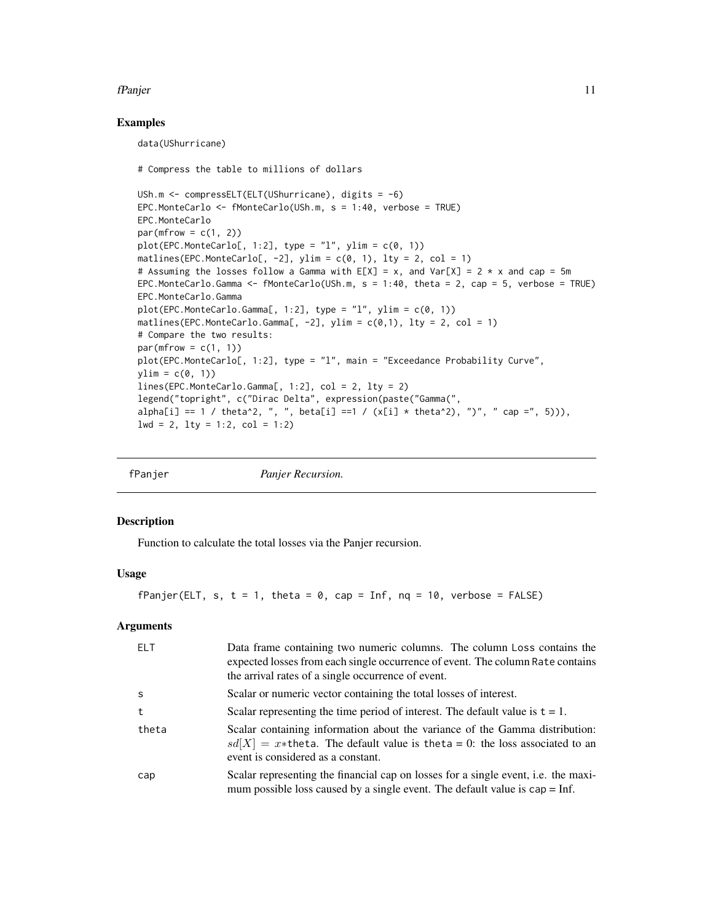#### <span id="page-10-0"></span>fPanjer 11

### Examples

data(UShurricane)

# Compress the table to millions of dollars

USh.m <- compressELT(ELT(UShurricane), digits = -6) EPC.MonteCarlo <- fMonteCarlo(USh.m, s = 1:40, verbose = TRUE) EPC.MonteCarlo  $par(mfrow = c(1, 2))$  $plot(EPC.MonteCarlo[, 1:2], type = "l", ylim = c(0, 1))$ matlines(EPC.MonteCarlo[,  $-2$ ], ylim = c(0, 1), lty = 2, col = 1) # Assuming the losses follow a Gamma with  $E[X] = x$ , and Var $[X] = 2 \times x$  and cap = 5m EPC.MonteCarlo.Gamma <- fMonteCarlo(USh.m, s = 1:40, theta = 2, cap = 5, verbose = TRUE) EPC.MonteCarlo.Gamma  $plot(EPC.MonteCarlo.Gamma[, 1:2], type = "l", ylim = c(0, 1))$ matlines(EPC.MonteCarlo.Gamma[, -2], ylim =  $c(\emptyset,1)$ , lty = 2, col = 1) # Compare the two results:  $par(mfrow = c(1, 1))$ plot(EPC.MonteCarlo[, 1:2], type = "l", main = "Exceedance Probability Curve",  $ylim = c(0, 1)$ lines(EPC.MonteCarlo.Gamma[, 1:2], col = 2, lty = 2) legend("topright", c("Dirac Delta", expression(paste("Gamma(",  $alpha[i] == 1 / theta^2, ", "$ , beta[i] ==1 /  $(x[i] * theta^2), ")'$ , " cap =", 5))),  $1wd = 2$ ,  $1ty = 1:2$ ,  $col = 1:2$ )

| fPanjer | Panjer Recursion. |
|---------|-------------------|
|         |                   |

#### Description

Function to calculate the total losses via the Panjer recursion.

#### Usage

fPanjer(ELT, s,  $t = 1$ , theta = 0, cap = Inf, nq = 10, verbose = FALSE)

#### Arguments

| <b>ELT</b> | Data frame containing two numeric columns. The column Loss contains the<br>expected losses from each single occurrence of event. The column Rate contains<br>the arrival rates of a single occurrence of event. |
|------------|-----------------------------------------------------------------------------------------------------------------------------------------------------------------------------------------------------------------|
| -S         | Scalar or numeric vector containing the total losses of interest.                                                                                                                                               |
| t          | Scalar representing the time period of interest. The default value is $t = 1$ .                                                                                                                                 |
| theta      | Scalar containing information about the variance of the Gamma distribution:<br>$sd[X] = x*$ theta. The default value is theta = 0: the loss associated to an<br>event is considered as a constant.              |
| cap        | Scalar representing the financial cap on losses for a single event, i.e. the maxi-<br>mum possible loss caused by a single event. The default value is $cap = Inf$ .                                            |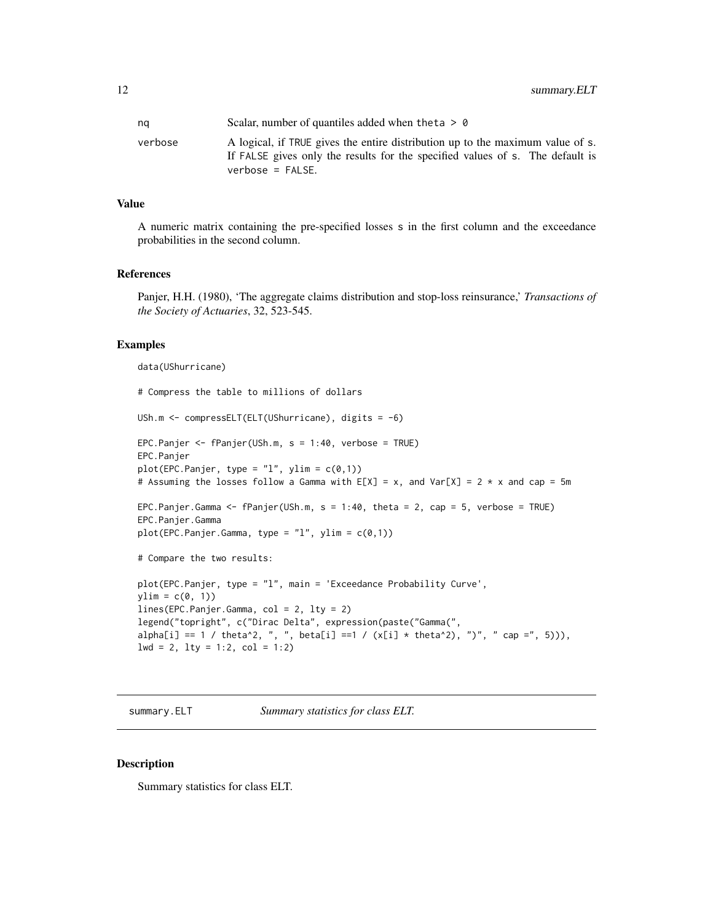<span id="page-11-0"></span>

| na      | Scalar, number of quantiles added when the ta $> 0$                                                                                                                                   |
|---------|---------------------------------------------------------------------------------------------------------------------------------------------------------------------------------------|
| verbose | A logical, if TRUE gives the entire distribution up to the maximum value of s.<br>If FALSE gives only the results for the specified values of s. The default is<br>$verbose = FALSE.$ |

#### Value

A numeric matrix containing the pre-specified losses s in the first column and the exceedance probabilities in the second column.

#### References

Panjer, H.H. (1980), 'The aggregate claims distribution and stop-loss reinsurance,' *Transactions of the Society of Actuaries*, 32, 523-545.

## Examples

```
data(UShurricane)
# Compress the table to millions of dollars
USh.m <- compressELT(ELT(UShurricane), digits = -6)
EPC.Panjer <- fPanjer(USh.m, s = 1:40, verbose = TRUE)
EPC.Panjer
plot(EPC.Panjer, type = "l", ylim = c(0,1))# Assuming the losses follow a Gamma with E[X] = x, and Var[X] = 2 \times x and cap = 5m
EPC.Panjer.Gamma <- fPanjer(USh.m, s = 1:40, theta = 2, cap = 5, verbose = TRUE)
EPC.Panjer.Gamma
plot(EPC.Panjer.Gamma, type = "l", ylim = c(0,1))# Compare the two results:
plot(EPC.Panjer, type = "l", main = 'Exceedance Probability Curve',
ylim = c(0, 1)lines(EPC.Panjer.Gamma, col = 2, lty = 2)
legend("topright", c("Dirac Delta", expression(paste("Gamma(",
alpha[i] == 1 / theta^2, ", ", beta[i] ==1 / (x[i] * theta^2), ")", " cap =", 5))),
1wd = 2, 1ty = 1:2, col = 1:2)
```
summary.ELT *Summary statistics for class ELT.*

## Description

Summary statistics for class ELT.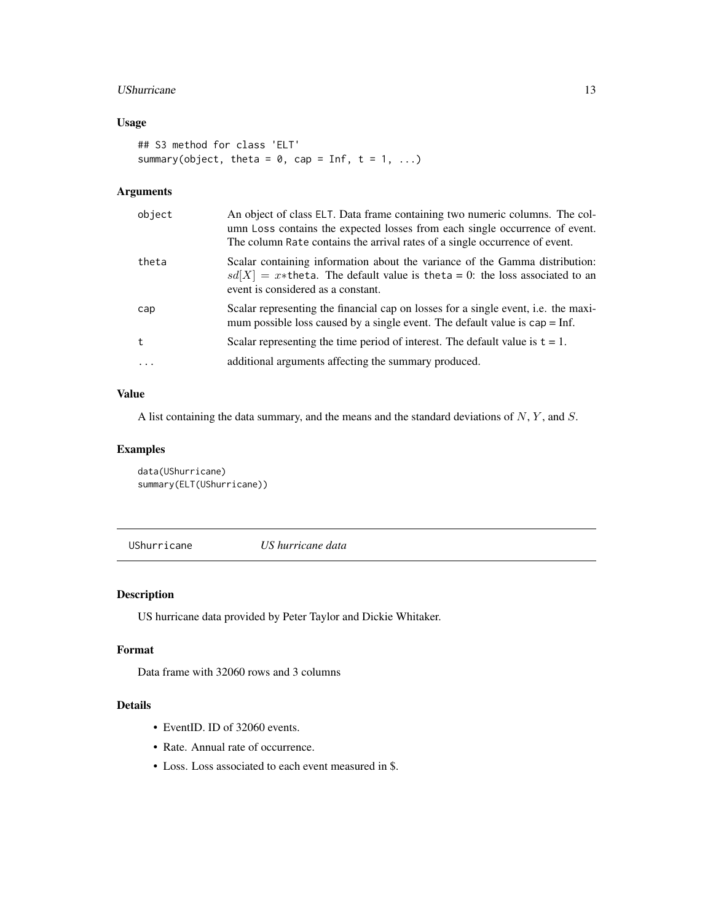## <span id="page-12-0"></span>UShurricane 13

## Usage

```
## S3 method for class 'ELT'
summary(object, theta = 0, cap = Inf, t = 1, ...)
```
## Arguments

| object     | An object of class ELT. Data frame containing two numeric columns. The col-<br>umn Loss contains the expected losses from each single occurrence of event.<br>The column Rate contains the arrival rates of a single occurrence of event. |
|------------|-------------------------------------------------------------------------------------------------------------------------------------------------------------------------------------------------------------------------------------------|
| theta      | Scalar containing information about the variance of the Gamma distribution:<br>$sd[X] = x*$ theta. The default value is theta = 0: the loss associated to an<br>event is considered as a constant.                                        |
| cap        | Scalar representing the financial cap on losses for a single event, i.e. the maxi-<br>mum possible loss caused by a single event. The default value is $cap = Inf$ .                                                                      |
| $^{\rm t}$ | Scalar representing the time period of interest. The default value is $t = 1$ .                                                                                                                                                           |
|            | additional arguments affecting the summary produced.                                                                                                                                                                                      |

## Value

A list containing the data summary, and the means and the standard deviations of  $N$ ,  $Y$ , and  $S$ .

## Examples

data(UShurricane) summary(ELT(UShurricane))

UShurricane *US hurricane data*

## Description

US hurricane data provided by Peter Taylor and Dickie Whitaker.

## Format

Data frame with 32060 rows and 3 columns

## Details

- EventID. ID of 32060 events.
- Rate. Annual rate of occurrence.
- Loss. Loss associated to each event measured in \$.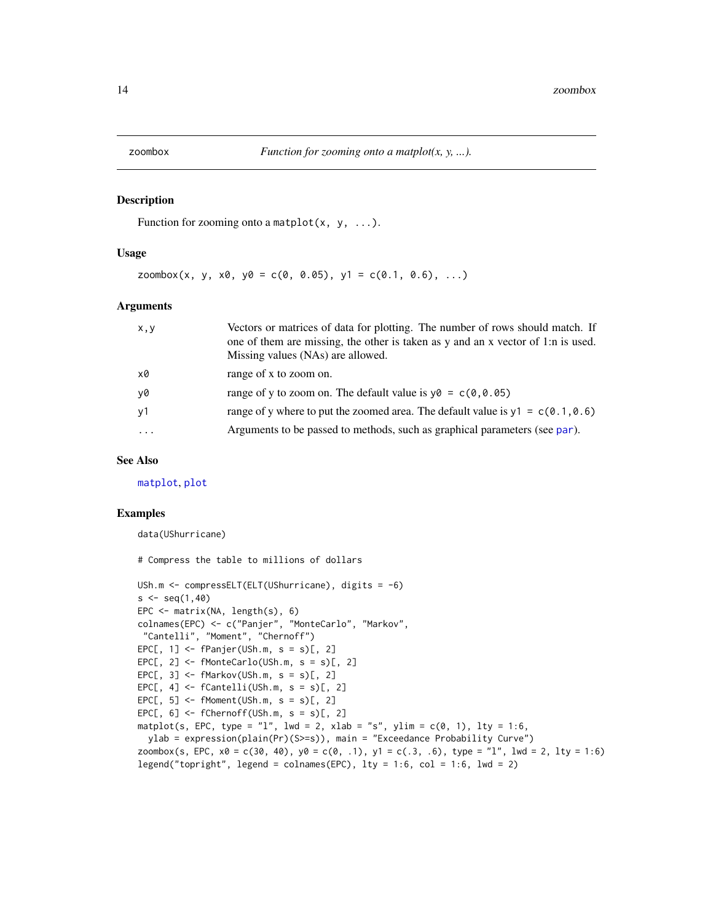<span id="page-13-0"></span>

#### Description

Function for zooming onto a matplot $(x, y, \ldots)$ .

#### Usage

zoombox(x, y, x0, y0 = c(0, 0.05), y1 = c(0.1, 0.6), ...)

#### Arguments

| X, Y     | Vectors or matrices of data for plotting. The number of rows should match. If<br>one of them are missing, the other is taken as y and an x vector of 1:n is used.<br>Missing values (NAs) are allowed. |
|----------|--------------------------------------------------------------------------------------------------------------------------------------------------------------------------------------------------------|
| x0       | range of x to zoom on.                                                                                                                                                                                 |
| y0       | range of y to zoom on. The default value is $y0 = c(0, 0.05)$                                                                                                                                          |
| y1       | range of y where to put the zoomed area. The default value is $y1 = c(0.1, 0.6)$                                                                                                                       |
| $\cdots$ | Arguments to be passed to methods, such as graphical parameters (see par).                                                                                                                             |

## See Also

[matplot](#page-0-0), [plot](#page-0-0)

#### Examples

```
data(UShurricane)
```

```
# Compress the table to millions of dollars
USh.m <- compressELT(ELT(UShurricane), digits = -6)
s < -seq(1, 40)EPC <- matrix(NA, length(s), 6)
colnames(EPC) <- c("Panjer", "MonteCarlo", "Markov",
"Cantelli", "Moment", "Chernoff")
EPC[, 1] <- fPanjer(USh.m, s = s)[, 2]
EPC[, 2] <- fMonteCarlo(USh.m, s = s)[, 2]
EPC[, 3] <- fMarkov(USh.m, s = s)[, 2]
EPC[, 4] <- fCantelli(USh.m, s = s)[, 2]
EPC[, 5] <- fMoment(USh.m, s = s)[, 2]
EPC[, 6] <- fChernoff(USh.m, s = s)[, 2]
matplot(s, EPC, type = "l", lwd = 2, xlab = "s", ylim = c(0, 1), lty = 1:6,
  ylab = expression(plain(Pr)(S>=s)), main = "Exceedance Probability Curve")
zoombox(s, EPC, x0 = c(30, 40), y0 = c(0, .1), y1 = c(.3, .6), type = "1", lwd = 2, lty = 1:6)
legend("topright", legend = colnames(EPC), lty = 1:6, col = 1:6, lwd = 2)
```